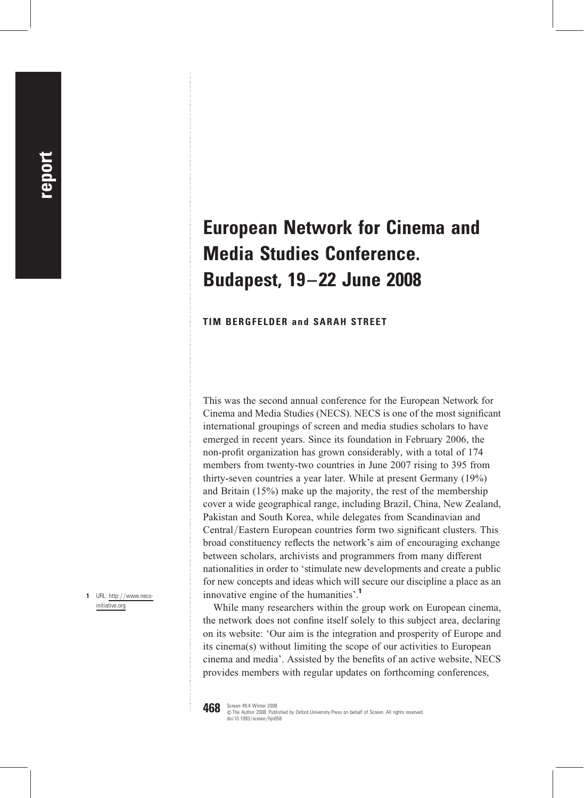## European Network for Cinema and Media Studies Conference. Budapest, 19–22 June 2008

## TIM BERGFELDER and SARAH STREET

This was the second annual conference for the European Network for Cinema and Media Studies (NECS). NECS is one of the most significant international groupings of screen and media studies scholars to have emerged in recent years. Since its foundation in February 2006, the non-profit organization has grown considerably, with a total of 174 members from twenty-two countries in June 2007 rising to 395 from thirty-seven countries a year later. While at present Germany (19%) and Britain (15%) make up the majority, the rest of the membership cover a wide geographical range, including Brazil, China, New Zealand, Pakistan and South Korea, while delegates from Scandinavian and Central/Eastern European countries form two significant clusters. This broad constituency reflects the network's aim of encouraging exchange between scholars, archivists and programmers from many different nationalities in order to 'stimulate new developments and create a public for new concepts and ideas which will secure our discipline a place as an innovative engine of the humanities'.<sup>1</sup>

While many researchers within the group work on European cinema, the network does not confine itself solely to this subject area, declaring on its website: 'Our aim is the integration and prosperity of Europe and its cinema(s) without limiting the scope of our activities to European cinema and media'. Assisted by the benefits of an active website, NECS provides members with regular updates on forthcoming conferences,

**468** Screen 49:4 Winter 2008 &The Author 2008. Published by Oxford University Press on behalf of Screen. All rights reserved. doi:10.1093/screen/hjn058

1 URL: http://www.necsinitiative.org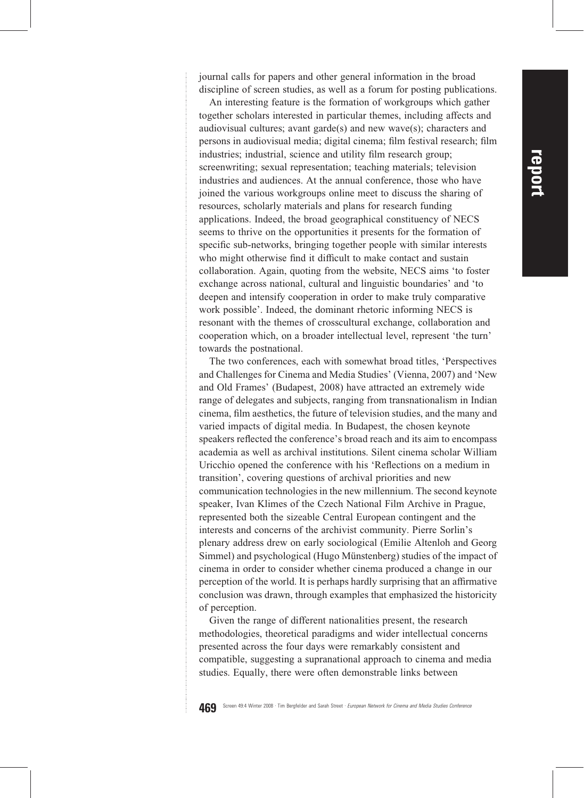journal calls for papers and other general information in the broad discipline of screen studies, as well as a forum for posting publications.

An interesting feature is the formation of workgroups which gather together scholars interested in particular themes, including affects and audiovisual cultures; avant garde(s) and new wave(s); characters and persons in audiovisual media; digital cinema; film festival research; film industries; industrial, science and utility film research group; screenwriting; sexual representation; teaching materials; television industries and audiences. At the annual conference, those who have joined the various workgroups online meet to discuss the sharing of resources, scholarly materials and plans for research funding applications. Indeed, the broad geographical constituency of NECS seems to thrive on the opportunities it presents for the formation of specific sub-networks, bringing together people with similar interests who might otherwise find it difficult to make contact and sustain collaboration. Again, quoting from the website, NECS aims 'to foster exchange across national, cultural and linguistic boundaries' and 'to deepen and intensify cooperation in order to make truly comparative work possible'. Indeed, the dominant rhetoric informing NECS is resonant with the themes of crosscultural exchange, collaboration and cooperation which, on a broader intellectual level, represent 'the turn' towards the postnational.

The two conferences, each with somewhat broad titles, 'Perspectives and Challenges for Cinema and Media Studies' (Vienna, 2007) and 'New and Old Frames' (Budapest, 2008) have attracted an extremely wide range of delegates and subjects, ranging from transnationalism in Indian cinema, film aesthetics, the future of television studies, and the many and varied impacts of digital media. In Budapest, the chosen keynote speakers reflected the conference's broad reach and its aim to encompass academia as well as archival institutions. Silent cinema scholar William Uricchio opened the conference with his 'Reflections on a medium in transition', covering questions of archival priorities and new communication technologies in the new millennium. The second keynote speaker, Ivan Klimes of the Czech National Film Archive in Prague, represented both the sizeable Central European contingent and the interests and concerns of the archivist community. Pierre Sorlin's plenary address drew on early sociological (Emilie Altenloh and Georg Simmel) and psychological (Hugo Münstenberg) studies of the impact of cinema in order to consider whether cinema produced a change in our perception of the world. It is perhaps hardly surprising that an affirmative conclusion was drawn, through examples that emphasized the historicity of perception.

Given the range of different nationalities present, the research methodologies, theoretical paradigms and wider intellectual concerns presented across the four days were remarkably consistent and compatible, suggesting a supranational approach to cinema and media studies. Equally, there were often demonstrable links between